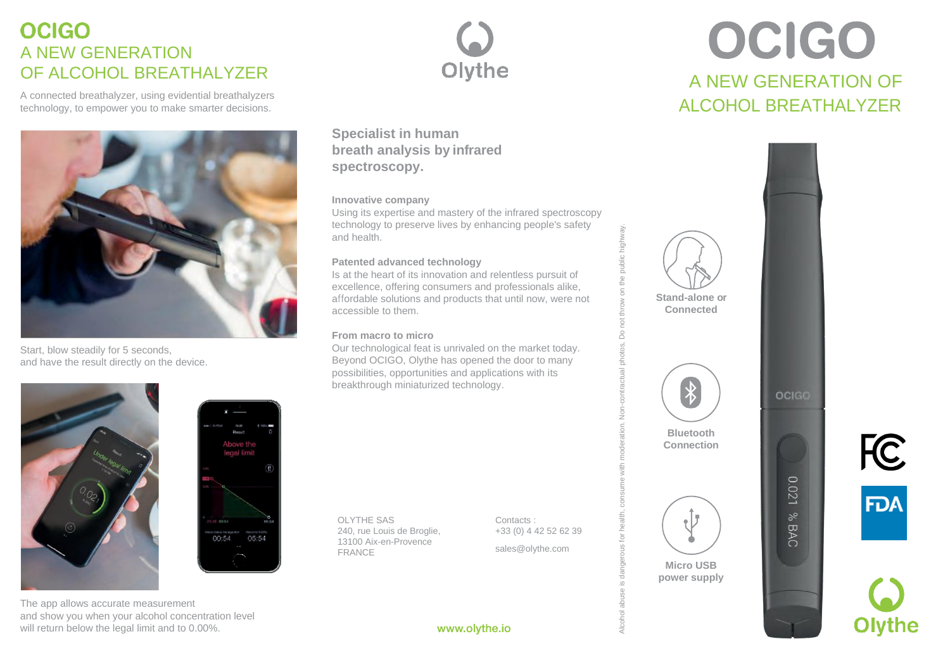# **OCIGO** A NEW GENERATION OF ALCOHOL BREATHALYZER

A connected breathalyzer, using evidential breathalyzers technology, to empower you to make smarter decisions.



Start, blow steadily for 5 seconds, and have the result directly on the device.





The app allows accurate measurement and show you when your alcohol concentration level will return below the legal limit and to 0.00%.



**Specialist in human breath analysis by infrared spectroscopy.**

### **Innovative company**

Using its expertise and mastery of the infrared spectroscopy technology to preserve lives by enhancing people's safety and health.

## **Patented advanced technology**

Is at the heart of its innovation and relentless pursuit of excellence, offering consumers and professionals alike, affordable solutions and products that until now, were not accessible to them.

## **From macro to micro**

Our technological feat is unrivaled on the market today. Beyond OCIGO, Olythe has opened the door to many possibilities, opportunities and applications with its breakthrough miniaturized technology.

www.olythe.io

OLYTHE SAS 240, rue Louis de Broglie, 13100 Aix-en-Provence FRANCE

Contacts : +33 (0) 4 42 52 62 39 Alcohol abuse is dangerous for health, consume with moderation. Non-contractual photos, Do not throw on the public highway.

 $\overline{\circ}$  $\alpha$ OS,

[sales@olythe.com](mailto:sales@olythe.com)

# OCIGO A NEW GENERATION OF ALCOHOL BREATHALYZER



**FC FDA** 

**Olvthe**